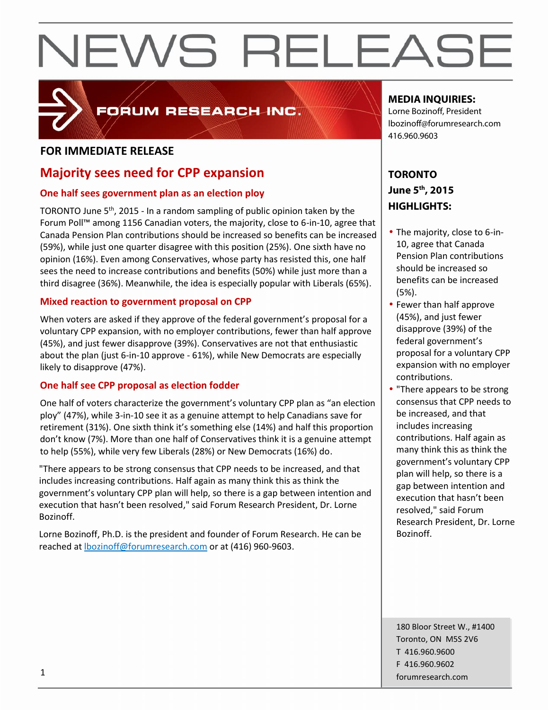

#### FORUM RESEARCH INC.

#### **FOR IMMEDIATE RELEASE**

#### **Majority sees need for CPP expansion**

#### **One half sees government plan as an election ploy**

TORONTO June 5<sup>th</sup>, 2015 - In a random sampling of public opinion taken by the  $\begin{bmatrix} \mathbf{r} \end{bmatrix}$ Forum Poll™ among 1156 Canadian voters, the majority, close to 6-in-10, agree that Canada Pension Plan contributions should be increased so benefits can be increased (59%), while just one quarter disagree with this position (25%). One sixth have no opinion (16%). Even among Conservatives, whose party has resisted this, one half sees the need to increase contributions and benefits (50%) while just more than a third disagree (36%). Meanwhile, the idea is especially popular with Liberals (65%).

#### **Mixed reaction to government proposal on CPP**

When voters are asked if they approve of the federal government's proposal for a voluntary CPP expansion, with no employer contributions, fewer than half approve (45%), and just fewer disapprove (39%). Conservatives are not that enthusiastic about the plan (just 6-in-10 approve - 61%), while New Democrats are especially likely to disapprove (47%).

#### **One half see CPP proposal as election fodder**

One half of voters characterize the government's voluntary CPP plan as "an election ploy" (47%), while 3-in-10 see it as a genuine attempt to help Canadians save for retirement (31%). One sixth think it's something else (14%) and half this proportion don't know (7%). More than one half of Conservatives think it is a genuine attempt to help (55%), while very few Liberals (28%) or New Democrats (16%) do.

"There appears to be strong consensus that CPP needs to be increased, and that includes increasing contributions. Half again as many think this as think the government's voluntary CPP plan will help, so there is a gap between intention and execution that hasn't been resolved," said Forum Research President, Dr. Lorne Bozinoff.

Lorne Bozinoff, Ph.D. is the president and founder of Forum Research. He can be reached at lbozinoff@forumresearch.com or at (416) 960-9603.

#### **MEDIA INQUIRIES:**

Lorne Bozinoff, President lbozinoff@forumresearch.com 416.960.9603

#### **TORONTO June 5th, 2015 HIGHLIGHTS:**

- The majority, close to 6-in-10, agree that Canada Pension Plan contributions should be increased so benefits can be increased (5%).
- Fewer than half approve (45%), and just fewer disapprove (39%) of the federal government's proposal for a voluntary CPP expansion with no employer contributions.
- "There appears to be strong consensus that CPP needs to be increased, and that includes increasing contributions. Half again as many think this as think the government's voluntary CPP plan will help, so there is a gap between intention and execution that hasn't been resolved," said Forum Research President, Dr. Lorne Bozinoff.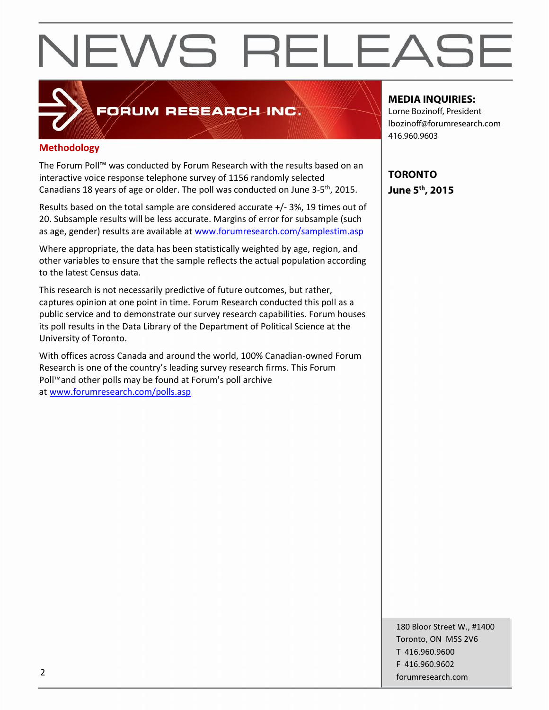#### FORUM RESEARCH INC.

#### **Methodology**

The Forum Poll™ was conducted by Forum Research with the results based on an interactive voice response telephone survey of 1156 randomly selected Canadians 18 years of age or older. The poll was conducted on June 3-5<sup>th</sup>, 2015.

Results based on the total sample are considered accurate +/- 3%, 19 times out of 20. Subsample results will be less accurate. Margins of error for subsample (such as age, gender) results are available at www.forumresearch.com/samplestim.asp

Where appropriate, the data has been statistically weighted by age, region, and other variables to ensure that the sample reflects the actual population according to the latest Census data.

This research is not necessarily predictive of future outcomes, but rather, captures opinion at one point in time. Forum Research conducted this poll as a public service and to demonstrate our survey research capabilities. Forum houses its poll results in the Data Library of the Department of Political Science at the University of Toronto.

With offices across Canada and around the world, 100% Canadian-owned Forum Research is one of the country's leading survey research firms. This Forum Poll™and other polls may be found at Forum's poll archive at www.forumresearch.com/polls.asp

#### **MEDIA INQUIRIES:**

Lorne Bozinoff, President lbozinoff@forumresearch.com 416.960.9603

**TORONTO June 5th, 2015**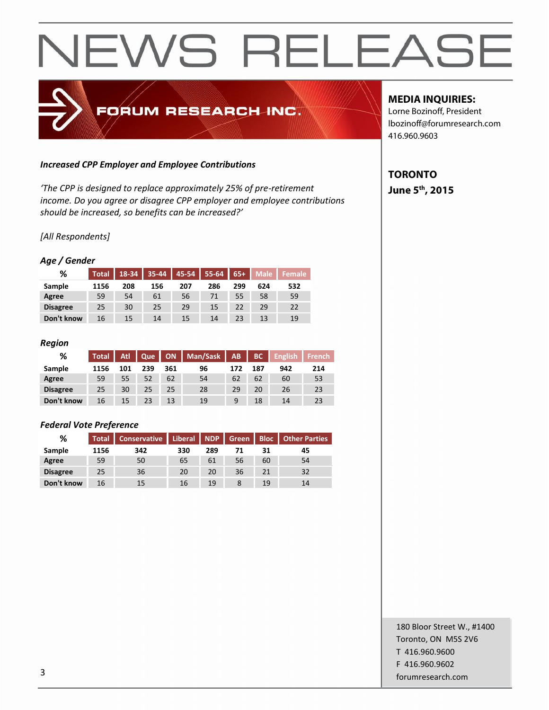### FORUM RESEARCH INC.

#### *Increased CPP Employer and Employee Contributions*

*'The CPP is designed to replace approximately 25% of pre-retirement income. Do you agree or disagree CPP employer and employee contributions should be increased, so benefits can be increased?'*

#### *[All Respondents]*

#### *Age / Gender*

| %               | <b>Total</b> | 18-34 | $35-44$ |     | 45-54   55-64 | $65+$ | <b>Male</b> | <b>Female</b> |
|-----------------|--------------|-------|---------|-----|---------------|-------|-------------|---------------|
| Sample          | 1156         | 208   | 156     | 207 | 286           | 299   | 624         | 532           |
| Agree           | 59           | 54    | 61      | 56  |               | 55    | 58          | 59            |
| <b>Disagree</b> | 25           | 30    | 25      | 29  | 15            | 22    | 29          | 22            |
| Don't know      | 16           | 15    | 14      | 15  | 14            | 23    | 13          | 19            |

#### *Region*

| %               | <b>Total</b> | Atl | Que |     | ON   Man/Sask | AB  | BC  | <b>English</b> | <b>French</b> |
|-----------------|--------------|-----|-----|-----|---------------|-----|-----|----------------|---------------|
| Sample          | 1156         | 101 | 239 | 361 | 96            | 172 | 187 | 942            | 214           |
| Agree           | 59           | 55  | 52  | 62  | 54            | 62  | 62  | 60             | 53            |
| <b>Disagree</b> | 25           | 30  | 25  | 25  | 28            | 29  | 20  | 26             | 23            |
| Don't know      | 16           | 15  | 23  | 13  | 19            | 9   | 18  | 14             | 23            |

#### *Federal Vote Preference*

| %               | <b>Total</b> | Conservative | Liberal   NDP |     | Green |    | <b>Bloc</b>   Other Parties |  |
|-----------------|--------------|--------------|---------------|-----|-------|----|-----------------------------|--|
| Sample          | 1156         | 342          | 330           | 289 | 71    | 31 | 45                          |  |
| Agree           | 59           | 50           | 65            | 61  | 56    | 60 | 54                          |  |
| <b>Disagree</b> | 25           | 36           | 20            | 20  | 36    | 21 | 32                          |  |
| Don't know      | 16           | 15           | 16            | 19  |       | 19 | 14                          |  |

#### **MEDIA INQUIRIES:**

Lorne Bozinoff, President lbozinoff@forumresearch.com 416.960.9603

#### **TORONTO June 5th, 2015**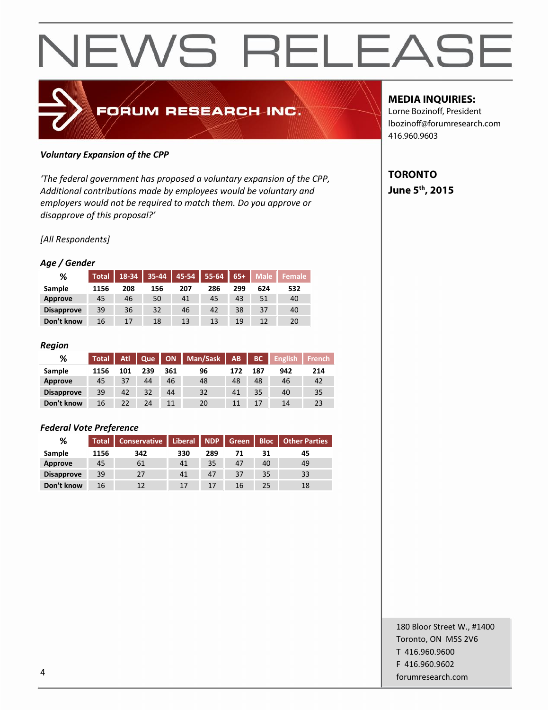### FORUM RESEARCH INC.

#### *Voluntary Expansion of the CPP*

*'The federal government has proposed a voluntary expansion of the CPP, Additional contributions made by employees would be voluntary and employers would not be required to match them. Do you approve or disapprove of this proposal?'*

*[All Respondents]*

#### *Age / Gender*

| %                 | <b>Total</b> | 18-34 |     |     | $\vert$ 35-44 $\vert$ 45-54 $\vert$ 55-64 $\vert$ | $65+$ | <b>Male</b> | <b>Female</b> |
|-------------------|--------------|-------|-----|-----|---------------------------------------------------|-------|-------------|---------------|
| Sample            | 1156         | 208   | 156 | 207 | 286                                               | 299   | 624         | 532           |
| Approve           | 45           | 46    | 50  | 41  | 45                                                | 43    | 51          | 40            |
| <b>Disapprove</b> | 39           | 36    | 32  | 46  | 42                                                | 38    | 37          | 40            |
| Don't know        | 16           | 17    | 18  | 13  | 13                                                | 19    | 12          | 20            |

#### *Region*

| %                 | <b>Total</b> | Atl. | Que |     | ON   Man/Sask   AB |     | BC  | <b>English</b> | <b>French</b> |
|-------------------|--------------|------|-----|-----|--------------------|-----|-----|----------------|---------------|
| Sample            | 1156         | 101  | 239 | 361 | 96                 | 172 | 187 | 942            | 214           |
| Approve           | 45           | 37   | 44  | 46  | 48                 | 48  | 48  | 46             | 42            |
| <b>Disapprove</b> | 39           | 42   | 32  | 44  | 32                 | 41  | 35  | 40             | 35            |
| Don't know        | 16           | 22   | 24  | 11  | 20                 | 11  | 17  | 14             | 23            |

#### *Federal Vote Preference*

| %                 | <b>Total</b> |     | Conservative   Liberal   NDP   Green   Bloc   Other Parties |     |    |    |    |  |
|-------------------|--------------|-----|-------------------------------------------------------------|-----|----|----|----|--|
| Sample            | 1156         | 342 | 330                                                         | 289 | 71 | 31 | 45 |  |
| Approve           | 45           | 61  | 41                                                          | 35  | 47 | 40 | 49 |  |
| <b>Disapprove</b> | 39           | 27  | 41                                                          | 47  | 37 | 35 | 33 |  |
| Don't know        | 16           | 12  | 17                                                          | 17  | 16 | 25 | 18 |  |

#### **MEDIA INQUIRIES:**

Lorne Bozinoff, President lbozinoff@forumresearch.com 416.960.9603

#### **TORONTO June 5th, 2015**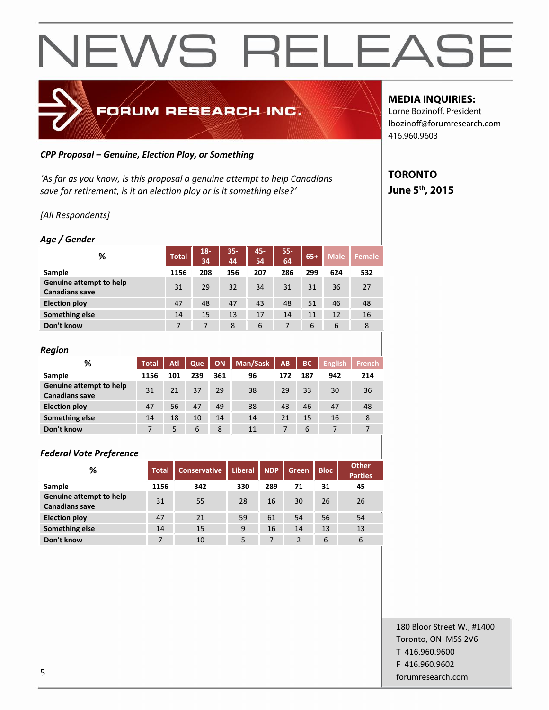

#### *CPP Proposal – Genuine, Election Ploy, or Something*

*'As far as you know, is this proposal a genuine attempt to help Canadians save for retirement, is it an election ploy or is it something else?'*

#### *[All Respondents]*

#### *Age / Gender*

| %                                                | <b>Total</b> | $18 -$<br>34 | $35 -$<br>44 | 45-<br>54 | $55 -$<br>64 | $65+$ | <b>Male</b> | Female |
|--------------------------------------------------|--------------|--------------|--------------|-----------|--------------|-------|-------------|--------|
| Sample                                           | 1156         | 208          | 156          | 207       | 286          | 299   | 624         | 532    |
| Genuine attempt to help<br><b>Canadians save</b> | 31           | 29           | 32           | 34        | 31           | 31    | 36          | 27     |
| <b>Election ploy</b>                             | 47           | 48           | 47           | 43        | 48           | 51    | 46          | 48     |
| Something else                                   | 14           | 15           | 13           | 17        | 14           | 11    | 12          | 16     |
| Don't know                                       | 7            | 7            | 8            | 6         | 7            | 6     | 6           | 8      |

| <b>Region</b>                                    |              |     |     |     |          |           |           |                |               |
|--------------------------------------------------|--------------|-----|-----|-----|----------|-----------|-----------|----------------|---------------|
| %                                                | <b>Total</b> | Atl | Que | ON  | Man/Sask | <b>AB</b> | <b>BC</b> | <b>English</b> | <b>French</b> |
| Sample                                           | 1156         | 101 | 239 | 361 | 96       | 172       | 187       | 942            | 214           |
| Genuine attempt to help<br><b>Canadians save</b> | 31           | 21  | 37  | 29  | 38       | 29        | 33        | 30             | 36            |
| <b>Election ploy</b>                             | 47           | 56  | 47  | 49  | 38       | 43        | 46        | 47             | 48            |
| Something else                                   | 14           | 18  | 10  | 14  | 14       | 21        | 15        | 16             | 8             |
| Don't know                                       | 7            | 5   | 6   | 8   | 11       | 7         | 6         | 7              | 7             |

| <b>Federal Vote Preference</b>                   |              |                     |                |            |                |             |                                |
|--------------------------------------------------|--------------|---------------------|----------------|------------|----------------|-------------|--------------------------------|
| %                                                | <b>Total</b> | <b>Conservative</b> | <b>Liberal</b> | <b>NDP</b> | <b>Green</b>   | <b>Bloc</b> | <b>Other</b><br><b>Parties</b> |
| Sample                                           | 1156         | 342                 | 330            | 289        | 71             | 31          | 45                             |
| Genuine attempt to help<br><b>Canadians save</b> | 31           | 55                  | 28             | 16         | 30             | 26          | 26                             |
| <b>Election ploy</b>                             | 47           | 21                  | 59             | 61         | 54             | 56          | 54                             |
| Something else                                   | 14           | 15                  | 9              | 16         | 14             | 13          | 13                             |
| Don't know                                       | 7            | 10                  | 5              | 7          | $\overline{2}$ | 6           | 6                              |

#### **MEDIA INQUIRIES:**

Lorne Bozinoff, President lbozinoff@forumresearch.com 416.960.9603

#### **TORONTO June 5th, 2015**